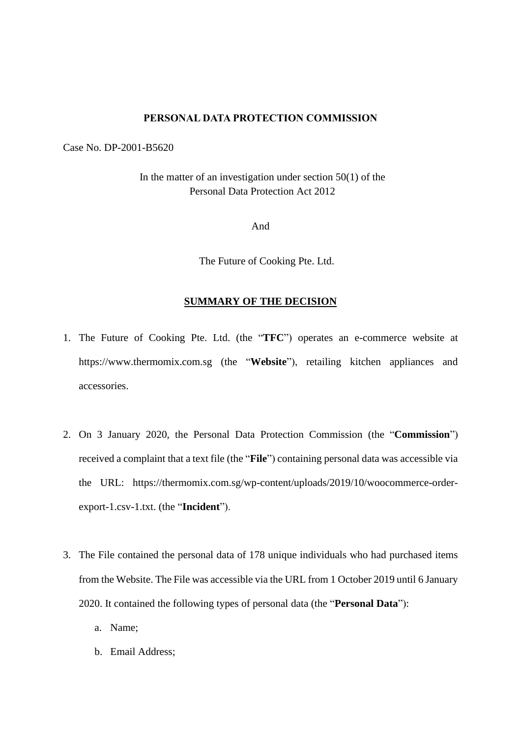#### **PERSONAL DATA PROTECTION COMMISSION**

Case No. DP-2001-B5620

In the matter of an investigation under section  $50(1)$  of the Personal Data Protection Act 2012

And

The Future of Cooking Pte. Ltd.

# **SUMMARY OF THE DECISION**

- 1. The Future of Cooking Pte. Ltd. (the "**TFC**") operates an e-commerce website at https://www.thermomix.com.sg (the "**Website**"), retailing kitchen appliances and accessories.
- 2. On 3 January 2020, the Personal Data Protection Commission (the "**Commission**") received a complaint that a text file (the "**File**") containing personal data was accessible via the URL: https://thermomix.com.sg/wp-content/uploads/2019/10/woocommerce-orderexport-1.csv-1.txt. (the "**Incident**").
- 3. The File contained the personal data of 178 unique individuals who had purchased items from the Website. The File was accessible via the URL from 1 October 2019 until 6 January 2020. It contained the following types of personal data (the "**Personal Data**"):
	- a. Name;
	- b. Email Address;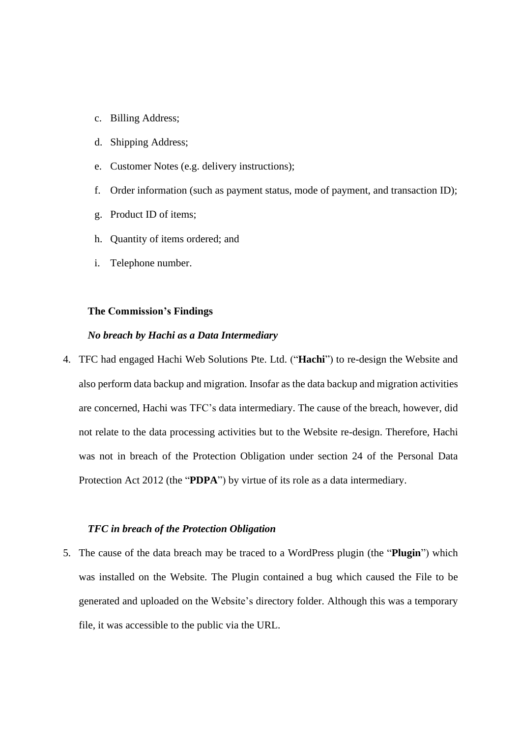- c. Billing Address;
- d. Shipping Address;
- e. Customer Notes (e.g. delivery instructions);
- f. Order information (such as payment status, mode of payment, and transaction ID);
- g. Product ID of items;
- h. Quantity of items ordered; and
- i. Telephone number.

# **The Commission's Findings**

### *No breach by Hachi as a Data Intermediary*

4. TFC had engaged Hachi Web Solutions Pte. Ltd. ("**Hachi**") to re-design the Website and also perform data backup and migration. Insofar as the data backup and migration activities are concerned, Hachi was TFC's data intermediary. The cause of the breach, however, did not relate to the data processing activities but to the Website re-design. Therefore, Hachi was not in breach of the Protection Obligation under section 24 of the Personal Data Protection Act 2012 (the "**PDPA**") by virtue of its role as a data intermediary.

#### *TFC in breach of the Protection Obligation*

5. The cause of the data breach may be traced to a WordPress plugin (the "**Plugin**") which was installed on the Website. The Plugin contained a bug which caused the File to be generated and uploaded on the Website's directory folder. Although this was a temporary file, it was accessible to the public via the URL.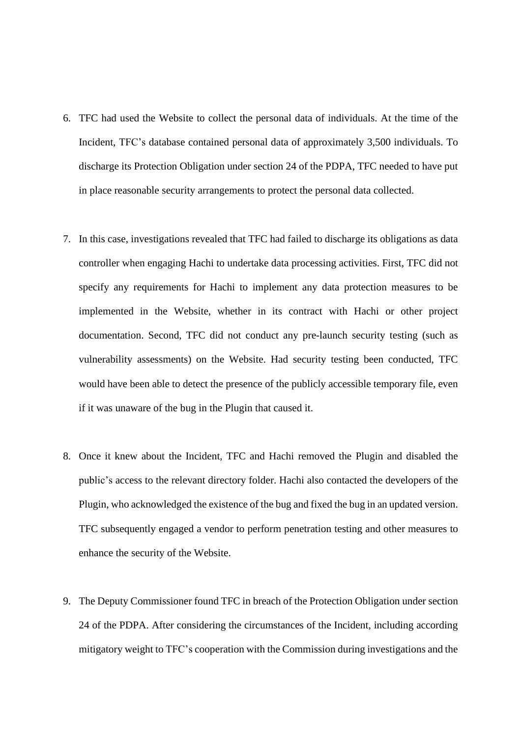- 6. TFC had used the Website to collect the personal data of individuals. At the time of the Incident, TFC's database contained personal data of approximately 3,500 individuals. To discharge its Protection Obligation under section 24 of the PDPA, TFC needed to have put in place reasonable security arrangements to protect the personal data collected.
- 7. In this case, investigations revealed that TFC had failed to discharge its obligations as data controller when engaging Hachi to undertake data processing activities. First, TFC did not specify any requirements for Hachi to implement any data protection measures to be implemented in the Website, whether in its contract with Hachi or other project documentation. Second, TFC did not conduct any pre-launch security testing (such as vulnerability assessments) on the Website. Had security testing been conducted, TFC would have been able to detect the presence of the publicly accessible temporary file, even if it was unaware of the bug in the Plugin that caused it.
- 8. Once it knew about the Incident, TFC and Hachi removed the Plugin and disabled the public's access to the relevant directory folder. Hachi also contacted the developers of the Plugin, who acknowledged the existence of the bug and fixed the bug in an updated version. TFC subsequently engaged a vendor to perform penetration testing and other measures to enhance the security of the Website.
- 9. The Deputy Commissioner found TFC in breach of the Protection Obligation under section 24 of the PDPA. After considering the circumstances of the Incident, including according mitigatory weight to TFC's cooperation with the Commission during investigations and the